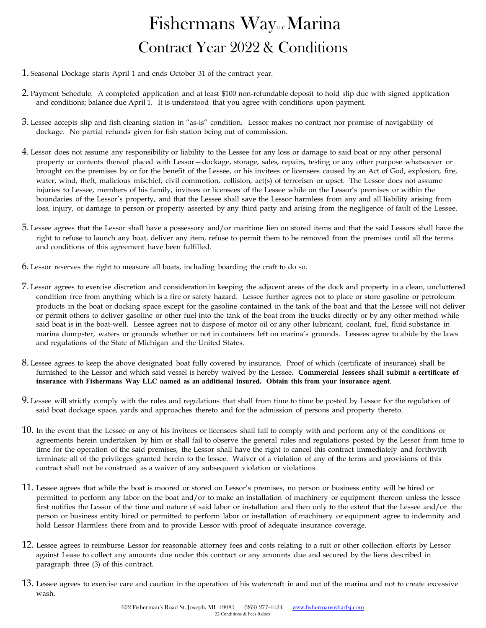# $F$ ishermans Way Contract Year 2022 & Conditions

- 1. Seasonal Dockage starts April 1 and ends October 31 of the contract year.
- 2. Payment Schedule. A completed application and at least \$100 non-refundable deposit to hold slip due with signed application and conditions; balance due April 1. It is understood that you agree with conditions upon payment.
- 3. Lessee accepts slip and fish cleaning station in "as-is" condition. Lessor makes no contract nor promise of navigability of dockage. No partial refunds given for fish station being out of commission.
- 4. Lessor does not assume any responsibility or liability to the Lessee for any loss or damage to said boat or any other personal property or contents thereof placed with Lessor—dockage, storage, sales, repairs, testing or any other purpose whatsoever or brought on the premises by or for the benefit of the Lessee, or his invitees or licensees caused by an Act of God, explosion, fire, water, wind, theft, malicious mischief, civil commotion, collision, act(s) of terrorism or upset. The Lessor does not assume injuries to Lessee, members of his family, invitees or licensees of the Lessee while on the Lessor's premises or within the boundaries of the Lessor's property, and that the Lessee shall save the Lessor harmless from any and all liability arising from loss, injury, or damage to person or property asserted by any third party and arising from the negligence of fault of the Lessee.
- 5. Lessee agrees that the Lessor shall have a possessory and/or maritime lien on stored items and that the said Lessors shall have the right to refuse to launch any boat, deliver any item, refuse to permit them to be removed from the premises until all the terms and conditions of this agreement have been fulfilled.
- 6. Lessor reserves the right to measure all boats, including boarding the craft to do so.
- 7. Lessor agrees to exercise discretion and consideration in keeping the adjacent areas of the dock and property in a clean, uncluttered condition free from anything which is a fire or safety hazard. Lessee further agrees not to place or store gasoline or petroleum products in the boat or docking space except for the gasoline contained in the tank of the boat and that the Lessee will not deliver or permit others to deliver gasoline or other fuel into the tank of the boat from the trucks directly or by any other method while said boat is in the boat-well. Lessee agrees not to dispose of motor oil or any other lubricant, coolant, fuel, fluid substance in marina dumpster, waters or grounds whether or not in containers left on marina's grounds. Lessees agree to abide by the laws and regulations of the State of Michigan and the United States.
- 8. Lessee agrees to keep the above designated boat fully covered by insurance. Proof of which (certificate of insurance) shall be furnished to the Lessor and which said vessel is hereby waived by the Lessee. **Commercial lessees shall submit a certificate of insurance with Fishermans Way LLC named as an additional insured. Obtain this from your insurance agent**.
- 9. Lessee will strictly comply with the rules and regulations that shall from time to time be posted by Lessor for the regulation of said boat dockage space, yards and approaches thereto and for the admission of persons and property thereto.
- 10. In the event that the Lessee or any of his invitees or licensees shall fail to comply with and perform any of the conditions or agreements herein undertaken by him or shall fail to observe the general rules and regulations posted by the Lessor from time to time for the operation of the said premises, the Lessor shall have the right to cancel this contract immediately and forthwith terminate all of the privileges granted herein to the lessee. Waiver of a violation of any of the terms and provisions of this contract shall not be construed as a waiver of any subsequent violation or violations.
- 11. Lessee agrees that while the boat is moored or stored on Lessor's premises, no person or business entity will be hired or permitted to perform any labor on the boat and/or to make an installation of machinery or equipment thereon unless the lessee first notifies the Lessor of the time and nature of said labor or installation and then only to the extent that the Lessee and/or the person or business entity hired or permitted to perform labor or installation of machinery or equipment agree to indemnity and hold Lessor Harmless there from and to provide Lessor with proof of adequate insurance coverage.
- 12. Lessee agrees to reimburse Lessor for reasonable attorney fees and costs relating to a suit or other collection efforts by Lessor against Lease to collect any amounts due under this contract or any amounts due and secured by the liens described in paragraph three (3) of this contract.
- 13. Lessee agrees to exercise care and caution in the operation of his watercraft in and out of the marina and not to create excessive wash.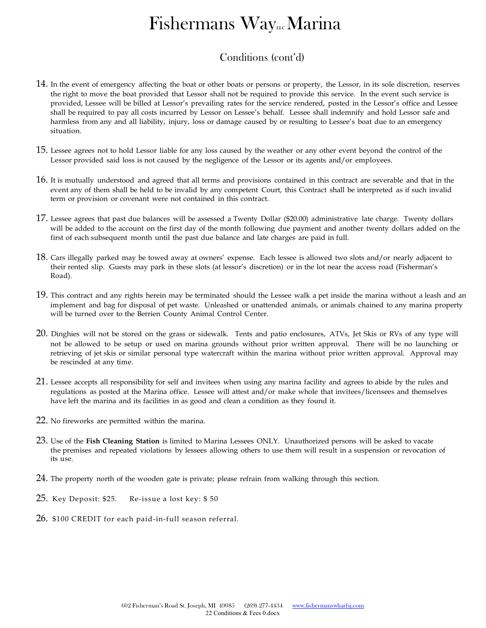# $F$ ishermans Way

### Conditions (cont'd)

- 14. In the event of emergency affecting the boat or other boats or persons or property, the Lessor, in its sole discretion, reserves the right to move the boat provided that Lessor shall not be required to provide this service. In the event such service is provided, Lessee will be billed at Lessor's prevailing rates for the service rendered, posted in the Lessor's office and Lessee shall be required to pay all costs incurred by Lessor on Lessee's behalf. Lessee shall indemnify and hold Lessor safe and harmless from any and all liability, injury, loss or damage caused by or resulting to Lessee's boat due to an emergency situation.
- 15. Lessee agrees not to hold Lessor liable for any loss caused by the weather or any other event beyond the control of the Lessor provided said loss is not caused by the negligence of the Lessor or its agents and/or employees.
- 16. It is mutually understood and agreed that all terms and provisions contained in this contract are severable and that in the event any of them shall be held to be invalid by any competent Court, this Contract shall be interpreted as if such invalid term or provision or covenant were not contained in this contract.
- 17. Lessee agrees that past due balances will be assessed a Twenty Dollar (\$20.00) administrative late charge. Twenty dollars will be added to the account on the first day of the month following due payment and another twenty dollars added on the first of each subsequent month until the past due balance and late charges are paid in full.
- 18. Cars illegally parked may be towed away at owners' expense. Each lessee is allowed two slots and/or nearly adjacent to their rented slip. Guests may park in these slots (at lessor's discretion) or in the lot near the access road (Fisherman's Road).
- 19. This contract and any rights herein may be terminated should the Lessee walk a pet inside the marina without a leash and an implement and bag for disposal of pet waste. Unleashed or unattended animals, or animals chained to any marina property will be turned over to the Berrien County Animal Control Center.
- 20. Dinghies will not be stored on the grass or sidewalk. Tents and patio enclosures, ATVs, Jet Skis or RVs of any type will not be allowed to be setup or used on marina grounds without prior written approval. There will be no launching or retrieving of jet skis or similar personal type watercraft within the marina without prior written approval. Approval may be rescinded at any time.
- 21. Lessee accepts all responsibility for self and invitees when using any marina facility and agrees to abide by the rules and regulations as posted at the Marina office. Lessee will attest and/or make whole that invitees/licensees and themselves have left the marina and its facilities in as good and clean a condition as they found it.
- 22. No fireworks are permitted within the marina.
- 23. Use of the **Fish Cleaning Station** is limited to Marina Lessees ONLY. Unauthorized persons will be asked to vacate the premises and repeated violations by lessees allowing others to use them will result in a suspension or revocation of its use.
- 24. The property north of the wooden gate is private; please refrain from walking through this section.
- 25. Key Deposit: \$25. Re-issue a lost key: \$ 50
- 26. \$100 CREDIT for each paid-in-full season referral.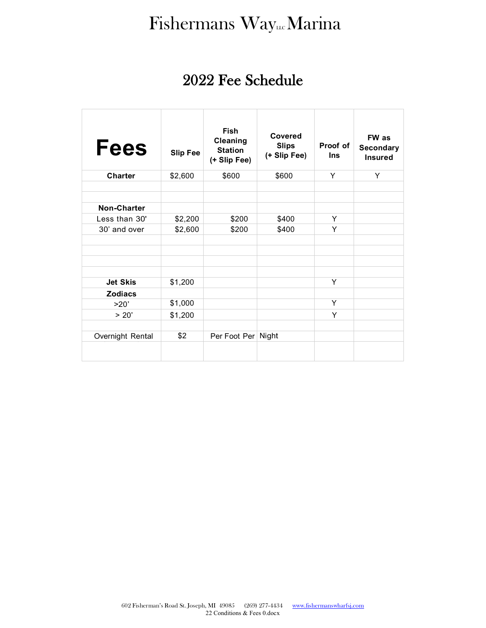# Fishermans WayLLC Marina

## 2022 Fee Schedule

| <b>Fees</b>      | <b>Slip Fee</b> | <b>Fish</b><br>Cleaning<br><b>Station</b><br>(+ Slip Fee) | Covered<br><b>Slips</b><br>(+ Slip Fee) | Proof of<br><b>Ins</b> | FW as<br><b>Secondary</b><br><b>Insured</b> |
|------------------|-----------------|-----------------------------------------------------------|-----------------------------------------|------------------------|---------------------------------------------|
| <b>Charter</b>   | \$2,600         | \$600                                                     | \$600                                   | Υ                      | Y                                           |
|                  |                 |                                                           |                                         |                        |                                             |
|                  |                 |                                                           |                                         |                        |                                             |
| Non-Charter      |                 |                                                           |                                         |                        |                                             |
| Less than 30'    | \$2,200         | \$200                                                     | \$400                                   | Y                      |                                             |
| 30' and over     | \$2,600         | \$200                                                     | \$400                                   | Υ                      |                                             |
|                  |                 |                                                           |                                         |                        |                                             |
|                  |                 |                                                           |                                         |                        |                                             |
|                  |                 |                                                           |                                         |                        |                                             |
|                  |                 |                                                           |                                         |                        |                                             |
| <b>Jet Skis</b>  | \$1,200         |                                                           |                                         | Υ                      |                                             |
| <b>Zodiacs</b>   |                 |                                                           |                                         |                        |                                             |
| >20'             | \$1,000         |                                                           |                                         | Y                      |                                             |
| > 20'            | \$1,200         |                                                           |                                         | Υ                      |                                             |
|                  |                 |                                                           |                                         |                        |                                             |
| Overnight Rental | \$2             | Per Foot Per                                              | Night                                   |                        |                                             |
|                  |                 |                                                           |                                         |                        |                                             |